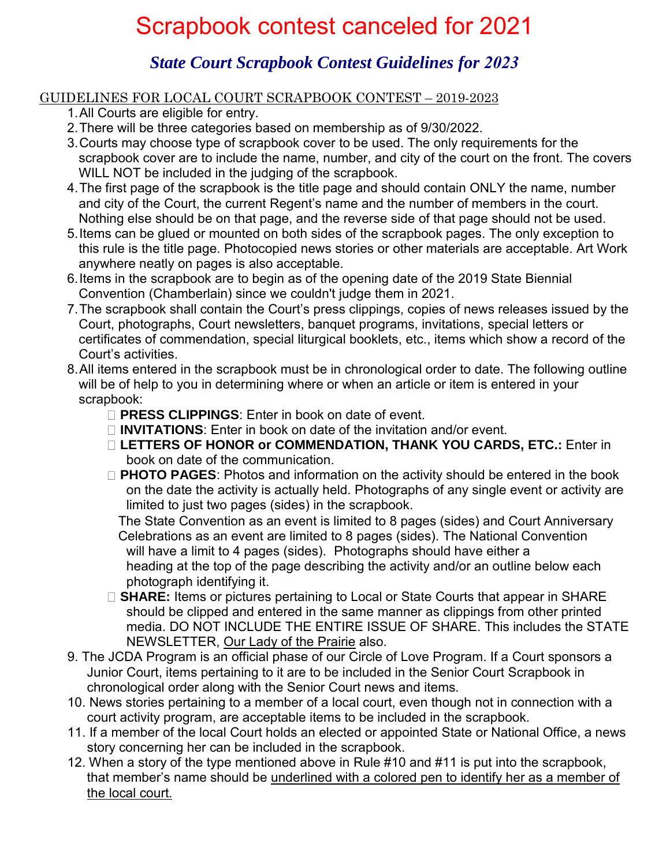## Scrapbook contest canceled for 2021

## *State Court Scrapbook Contest Guidelines for 2023*

## GUIDELINES FOR LOCAL COURT SCRAPBOOK CONTEST – 2019-2023

- 1.All Courts are eligible for entry.
- 2.There will be three categories based on membership as of 9/30/2022.
- 3.Courts may choose type of scrapbook cover to be used. The only requirements for the scrapbook cover are to include the name, number, and city of the court on the front. The covers WILL NOT be included in the judging of the scrapbook.
- 4.The first page of the scrapbook is the title page and should contain ONLY the name, number and city of the Court, the current Regent's name and the number of members in the court. Nothing else should be on that page, and the reverse side of that page should not be used.
- 5.Items can be glued or mounted on both sides of the scrapbook pages. The only exception to this rule is the title page. Photocopied news stories or other materials are acceptable. Art Work anywhere neatly on pages is also acceptable.
- 6.Items in the scrapbook are to begin as of the opening date of the 2019 State Biennial Convention (Chamberlain) since we couldn't judge them in 2021.
- 7.The scrapbook shall contain the Court's press clippings, copies of news releases issued by the Court, photographs, Court newsletters, banquet programs, invitations, special letters or certificates of commendation, special liturgical booklets, etc., items which show a record of the Court's activities.
- 8.All items entered in the scrapbook must be in chronological order to date. The following outline will be of help to you in determining where or when an article or item is entered in your scrapbook:
	- **PRESS CLIPPINGS**: Enter in book on date of event.
	- **INVITATIONS**: Enter in book on date of the invitation and/or event.
	- **LETTERS OF HONOR or COMMENDATION, THANK YOU CARDS, ETC.:** Enter in book on date of the communication.
	- **PHOTO PAGES**: Photos and information on the activity should be entered in the book on the date the activity is actually held. Photographs of any single event or activity are limited to just two pages (sides) in the scrapbook.

The State Convention as an event is limited to 8 pages (sides) and Court Anniversary Celebrations as an event are limited to 8 pages (sides). The National Convention will have a limit to 4 pages (sides). Photographs should have either a heading at the top of the page describing the activity and/or an outline below each photograph identifying it.

- **SHARE:** Items or pictures pertaining to Local or State Courts that appear in SHARE should be clipped and entered in the same manner as clippings from other printed media. DO NOT INCLUDE THE ENTIRE ISSUE OF SHARE. This includes the STATE NEWSLETTER, Our Lady of the Prairie also.
- 9. The JCDA Program is an official phase of our Circle of Love Program. If a Court sponsors a Junior Court, items pertaining to it are to be included in the Senior Court Scrapbook in chronological order along with the Senior Court news and items.
- 10. News stories pertaining to a member of a local court, even though not in connection with a court activity program, are acceptable items to be included in the scrapbook.
- 11. If a member of the local Court holds an elected or appointed State or National Office, a news story concerning her can be included in the scrapbook.
- 12. When a story of the type mentioned above in Rule #10 and #11 is put into the scrapbook, that member's name should be underlined with a colored pen to identify her as a member of the local court.